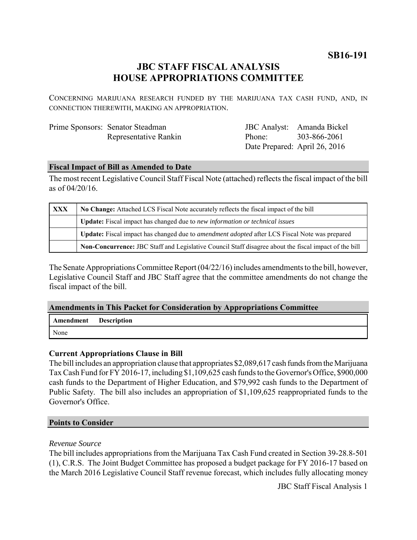**SB16-191**

# **JBC STAFF FISCAL ANALYSIS HOUSE APPROPRIATIONS COMMITTEE**

CONCERNING MARIJUANA RESEARCH FUNDED BY THE MARIJUANA TAX CASH FUND, AND, IN CONNECTION THEREWITH, MAKING AN APPROPRIATION.

| Prime Sponsors: Senator Steadman |
|----------------------------------|
| Representative Rankin            |

JBC Analyst: Amanda Bickel Phone: Date Prepared: April 26, 2016 303-866-2061

### **Fiscal Impact of Bill as Amended to Date**

The most recent Legislative Council Staff Fiscal Note (attached) reflects the fiscal impact of the bill as of 04/20/16.

| <b>XXX</b> | No Change: Attached LCS Fiscal Note accurately reflects the fiscal impact of the bill                 |  |
|------------|-------------------------------------------------------------------------------------------------------|--|
|            | Update: Fiscal impact has changed due to new information or technical issues                          |  |
|            | Update: Fiscal impact has changed due to <i>amendment adopted</i> after LCS Fiscal Note was prepared  |  |
|            | Non-Concurrence: JBC Staff and Legislative Council Staff disagree about the fiscal impact of the bill |  |

The Senate Appropriations Committee Report (04/22/16) includes amendments to the bill, however, Legislative Council Staff and JBC Staff agree that the committee amendments do not change the fiscal impact of the bill.

#### **Amendments in This Packet for Consideration by Appropriations Committee**

| Amendment | <b>Description</b> |
|-----------|--------------------|
| None      |                    |

## **Current Appropriations Clause in Bill**

The bill includes an appropriation clause that appropriates \$2,089,617 cash funds from the Marijuana Tax Cash Fund for FY 2016-17, including \$1,109,625 cash funds to the Governor's Office, \$900,000 cash funds to the Department of Higher Education, and \$79,992 cash funds to the Department of Public Safety. The bill also includes an appropriation of \$1,109,625 reappropriated funds to the Governor's Office.

#### **Points to Consider**

#### *Revenue Source*

The bill includes appropriations from the Marijuana Tax Cash Fund created in Section 39-28.8-501 (1), C.R.S. The Joint Budget Committee has proposed a budget package for FY 2016-17 based on the March 2016 Legislative Council Staff revenue forecast, which includes fully allocating money